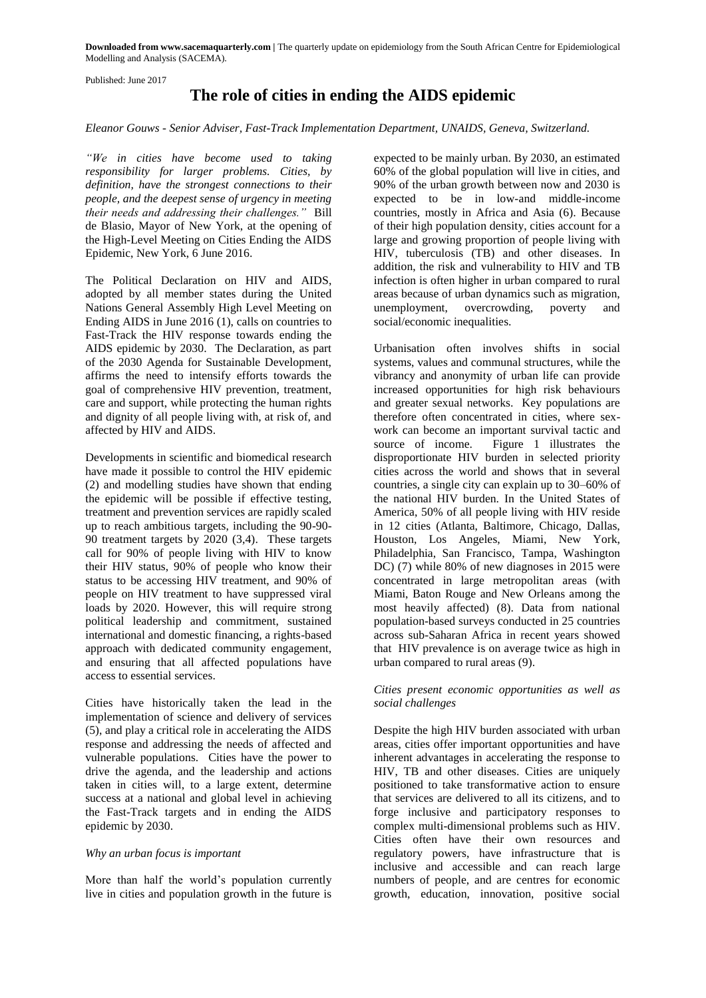**Downloaded from www.sacemaquarterly.com |** The quarterly update on epidemiology from the South African Centre for Epidemiological Modelling and Analysis (SACEMA).

Published: June 2017

# **The role of cities in ending the AIDS epidemic**

*Eleanor Gouws - Senior Adviser, Fast-Track Implementation Department, UNAIDS, Geneva, Switzerland.*

*"We in cities have become used to taking responsibility for larger problems. Cities, by definition, have the strongest connections to their people, and the deepest sense of urgency in meeting their needs and addressing their challenges."* Bill de Blasio, Mayor of New York, at the opening of the High-Level Meeting on Cities Ending the AIDS Epidemic, New York, 6 June 2016.

The Political Declaration on HIV and AIDS, adopted by all member states during the United Nations General Assembly High Level Meeting on Ending AIDS in June 2016 (1), calls on countries to Fast-Track the HIV response towards ending the AIDS epidemic by 2030. The Declaration, as part of the 2030 Agenda for Sustainable Development, affirms the need to intensify efforts towards the goal of comprehensive HIV prevention, treatment, care and support, while protecting the human rights and dignity of all people living with, at risk of, and affected by HIV and AIDS.

Developments in scientific and biomedical research have made it possible to control the HIV epidemic (2) and modelling studies have shown that ending the epidemic will be possible if effective testing, treatment and prevention services are rapidly scaled up to reach ambitious targets, including the 90-90- 90 treatment targets by 2020 (3,4). These targets call for 90% of people living with HIV to know their HIV status, 90% of people who know their status to be accessing HIV treatment, and 90% of people on HIV treatment to have suppressed viral loads by 2020. However, this will require strong political leadership and commitment, sustained international and domestic financing, a rights-based approach with dedicated community engagement, and ensuring that all affected populations have access to essential services.

Cities have historically taken the lead in the implementation of science and delivery of services (5), and play a critical role in accelerating the AIDS response and addressing the needs of affected and vulnerable populations. Cities have the power to drive the agenda, and the leadership and actions taken in cities will, to a large extent, determine success at a national and global level in achieving the Fast-Track targets and in ending the AIDS epidemic by 2030.

# *Why an urban focus is important*

More than half the world's population currently live in cities and population growth in the future is

expected to be mainly urban. By 2030, an estimated 60% of the global population will live in cities, and 90% of the urban growth between now and 2030 is expected to be in low-and middle-income countries, mostly in Africa and Asia (6). Because of their high population density, cities account for a large and growing proportion of people living with HIV, tuberculosis (TB) and other diseases. In addition, the risk and vulnerability to HIV and TB infection is often higher in urban compared to rural areas because of urban dynamics such as migration, unemployment, overcrowding, poverty and social/economic inequalities.

Urbanisation often involves shifts in social systems, values and communal structures, while the vibrancy and anonymity of urban life can provide increased opportunities for high risk behaviours and greater sexual networks. Key populations are therefore often concentrated in cities, where sexwork can become an important survival tactic and source of income. Figure 1 illustrates the disproportionate HIV burden in selected priority cities across the world and shows that in several countries, a single city can explain up to 30–60% of the national HIV burden. In the United States of America, 50% of all people living with HIV reside in 12 cities (Atlanta, Baltimore, Chicago, Dallas, Houston, Los Angeles, Miami, New York, Philadelphia, San Francisco, Tampa, Washington DC) (7) while 80% of new diagnoses in 2015 were concentrated in large metropolitan areas (with Miami, Baton Rouge and New Orleans among the most heavily affected) (8). Data from national population-based surveys conducted in 25 countries across sub-Saharan Africa in recent years showed that HIV prevalence is on average twice as high in urban compared to rural areas (9).

## *Cities present economic opportunities as well as social challenges*

Despite the high HIV burden associated with urban areas, cities offer important opportunities and have inherent advantages in accelerating the response to HIV, TB and other diseases. Cities are uniquely positioned to take transformative action to ensure that services are delivered to all its citizens, and to forge inclusive and participatory responses to complex multi-dimensional problems such as HIV. Cities often have their own resources and regulatory powers, have infrastructure that is inclusive and accessible and can reach large numbers of people, and are centres for economic growth, education, innovation, positive social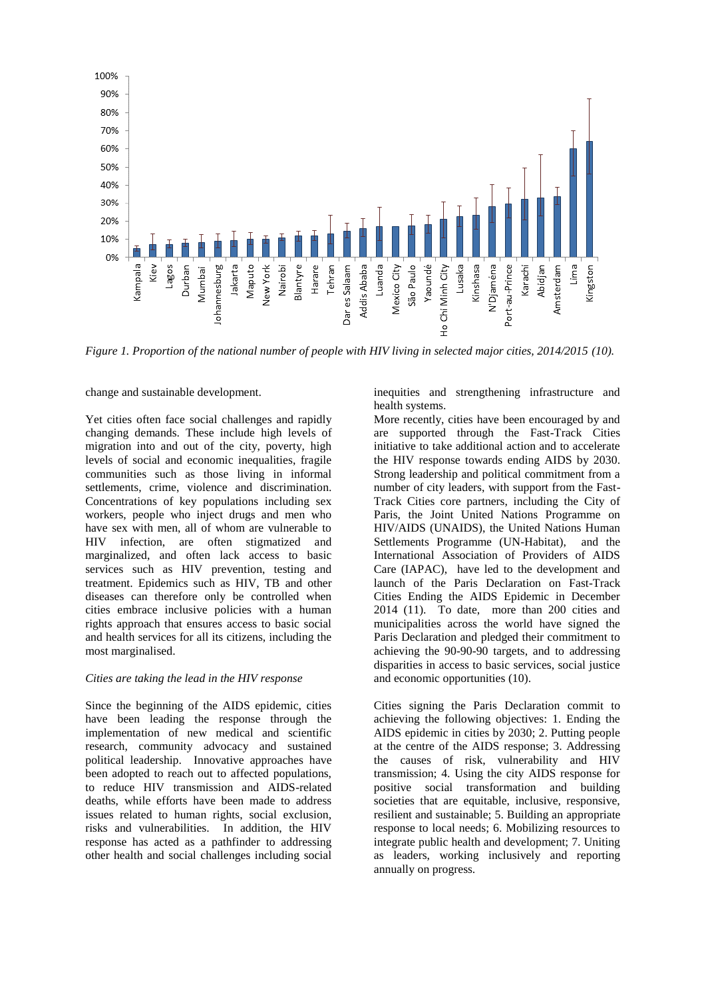

*Figure 1. Proportion of the national number of people with HIV living in selected major cities, 2014/2015 (10).*

change and sustainable development.

Yet cities often face social challenges and rapidly changing demands. These include high levels of migration into and out of the city, poverty, high levels of social and economic inequalities, fragile communities such as those living in informal settlements, crime, violence and discrimination. Concentrations of key populations including sex workers, people who inject drugs and men who have sex with men, all of whom are vulnerable to HIV infection, are often stigmatized and marginalized, and often lack access to basic services such as HIV prevention, testing and treatment. Epidemics such as HIV, TB and other diseases can therefore only be controlled when cities embrace inclusive policies with a human rights approach that ensures access to basic social and health services for all its citizens, including the most marginalised.

#### *Cities are taking the lead in the HIV response*

Since the beginning of the AIDS epidemic, cities have been leading the response through the implementation of new medical and scientific research, community advocacy and sustained political leadership. Innovative approaches have been adopted to reach out to affected populations, to reduce HIV transmission and AIDS-related deaths, while efforts have been made to address issues related to human rights, social exclusion, risks and vulnerabilities. In addition, the HIV response has acted as a pathfinder to addressing other health and social challenges including social

inequities and strengthening infrastructure and health systems.

More recently, cities have been encouraged by and are supported through the Fast-Track Cities initiative to take additional action and to accelerate the HIV response towards ending AIDS by 2030. Strong leadership and political commitment from a number of city leaders, with support from the Fast-Track Cities core partners, including the City of Paris, the Joint United Nations Programme on HIV/AIDS (UNAIDS), the United Nations Human Settlements Programme (UN-Habitat), and the International Association of Providers of AIDS Care (IAPAC), have led to the development and launch of the Paris Declaration on Fast-Track Cities Ending the AIDS Epidemic in December 2014 (11). To date, more than 200 cities and municipalities across the world have signed the Paris Declaration and pledged their commitment to achieving the 90-90-90 targets, and to addressing disparities in access to basic services, social justice and economic opportunities (10).

Cities signing the Paris Declaration commit to achieving the following objectives: 1. Ending the AIDS epidemic in cities by 2030; 2. Putting people at the centre of the AIDS response; 3. Addressing the causes of risk, vulnerability and HIV transmission; 4. Using the city AIDS response for positive social transformation and building societies that are equitable, inclusive, responsive, resilient and sustainable; 5. Building an appropriate response to local needs; 6. Mobilizing resources to integrate public health and development; 7. Uniting as leaders, working inclusively and reporting annually on progress.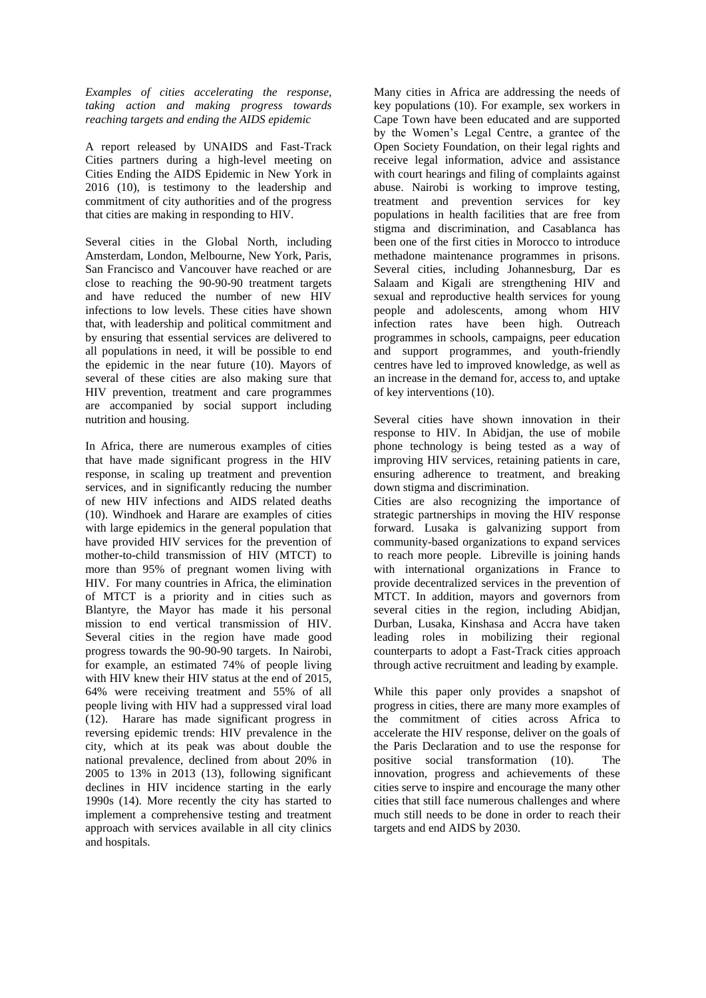*Examples of cities accelerating the response, taking action and making progress towards reaching targets and ending the AIDS epidemic* 

A report released by UNAIDS and Fast-Track Cities partners during a high-level meeting on Cities Ending the AIDS Epidemic in New York in 2016 (10), is testimony to the leadership and commitment of city authorities and of the progress that cities are making in responding to HIV.

Several cities in the Global North, including Amsterdam, London, Melbourne, New York, Paris, San Francisco and Vancouver have reached or are close to reaching the 90-90-90 treatment targets and have reduced the number of new HIV infections to low levels. These cities have shown that, with leadership and political commitment and by ensuring that essential services are delivered to all populations in need, it will be possible to end the epidemic in the near future (10). Mayors of several of these cities are also making sure that HIV prevention, treatment and care programmes are accompanied by social support including nutrition and housing.

In Africa, there are numerous examples of cities that have made significant progress in the HIV response, in scaling up treatment and prevention services, and in significantly reducing the number of new HIV infections and AIDS related deaths (10). Windhoek and Harare are examples of cities with large epidemics in the general population that have provided HIV services for the prevention of mother-to-child transmission of HIV (MTCT) to more than 95% of pregnant women living with HIV. For many countries in Africa, the elimination of MTCT is a priority and in cities such as Blantyre, the Mayor has made it his personal mission to end vertical transmission of HIV. Several cities in the region have made good progress towards the 90-90-90 targets. In Nairobi, for example, an estimated 74% of people living with HIV knew their HIV status at the end of 2015, 64% were receiving treatment and 55% of all people living with HIV had a suppressed viral load (12). Harare has made significant progress in reversing epidemic trends: HIV prevalence in the city, which at its peak was about double the national prevalence, declined from about 20% in 2005 to 13% in 2013 (13), following significant declines in HIV incidence starting in the early 1990s (14). More recently the city has started to implement a comprehensive testing and treatment approach with services available in all city clinics and hospitals.

Many cities in Africa are addressing the needs of key populations (10). For example, sex workers in Cape Town have been educated and are supported by the Women's Legal Centre, a grantee of the Open Society Foundation, on their legal rights and receive legal information, advice and assistance with court hearings and filing of complaints against abuse. Nairobi is working to improve testing, treatment and prevention services for key populations in health facilities that are free from stigma and discrimination, and Casablanca has been one of the first cities in Morocco to introduce methadone maintenance programmes in prisons. Several cities, including Johannesburg, Dar es Salaam and Kigali are strengthening HIV and sexual and reproductive health services for young people and adolescents, among whom HIV infection rates have been high. Outreach programmes in schools, campaigns, peer education and support programmes, and youth-friendly centres have led to improved knowledge, as well as an increase in the demand for, access to, and uptake of key interventions (10).

Several cities have shown innovation in their response to HIV. In Abidjan, the use of mobile phone technology is being tested as a way of improving HIV services, retaining patients in care, ensuring adherence to treatment, and breaking down stigma and discrimination.

Cities are also recognizing the importance of strategic partnerships in moving the HIV response forward. Lusaka is galvanizing support from community-based organizations to expand services to reach more people. Libreville is joining hands with international organizations in France to provide decentralized services in the prevention of MTCT. In addition, mayors and governors from several cities in the region, including Abidjan, Durban, Lusaka, Kinshasa and Accra have taken leading roles in mobilizing their regional counterparts to adopt a Fast-Track cities approach through active recruitment and leading by example.

While this paper only provides a snapshot of progress in cities, there are many more examples of the commitment of cities across Africa to accelerate the HIV response, deliver on the goals of the Paris Declaration and to use the response for positive social transformation (10). The innovation, progress and achievements of these cities serve to inspire and encourage the many other cities that still face numerous challenges and where much still needs to be done in order to reach their targets and end AIDS by 2030.